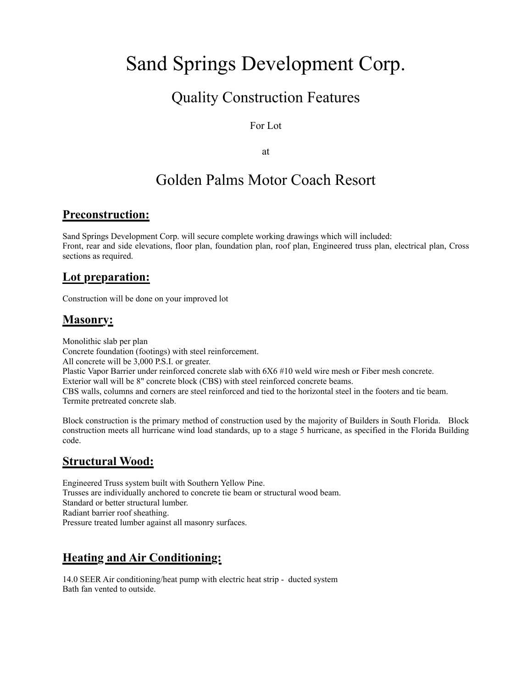# Sand Springs Development Corp.

# Quality Construction Features

#### For Lot

at

# Golden Palms Motor Coach Resort

#### **Preconstruction:**

Sand Springs Development Corp. will secure complete working drawings which will included: Front, rear and side elevations, floor plan, foundation plan, roof plan, Engineered truss plan, electrical plan, Cross sections as required.

#### **Lot preparation:**

Construction will be done on your improved lot

#### **Masonry:**

Monolithic slab per plan Concrete foundation (footings) with steel reinforcement. All concrete will be 3,000 P.S.I. or greater. Plastic Vapor Barrier under reinforced concrete slab with 6X6 #10 weld wire mesh or Fiber mesh concrete. Exterior wall will be 8" concrete block (CBS) with steel reinforced concrete beams. CBS walls, columns and corners are steel reinforced and tied to the horizontal steel in the footers and tie beam. Termite pretreated concrete slab.

Block construction is the primary method of construction used by the majority of Builders in South Florida. Block construction meets all hurricane wind load standards, up to a stage 5 hurricane, as specified in the Florida Building code.

#### **Structural Wood:**

Engineered Truss system built with Southern Yellow Pine. Trusses are individually anchored to concrete tie beam or structural wood beam. Standard or better structural lumber. Radiant barrier roof sheathing. Pressure treated lumber against all masonry surfaces.

# **Heating and Air Conditioning:**

14.0 SEER Air conditioning/heat pump with electric heat strip - ducted system Bath fan vented to outside.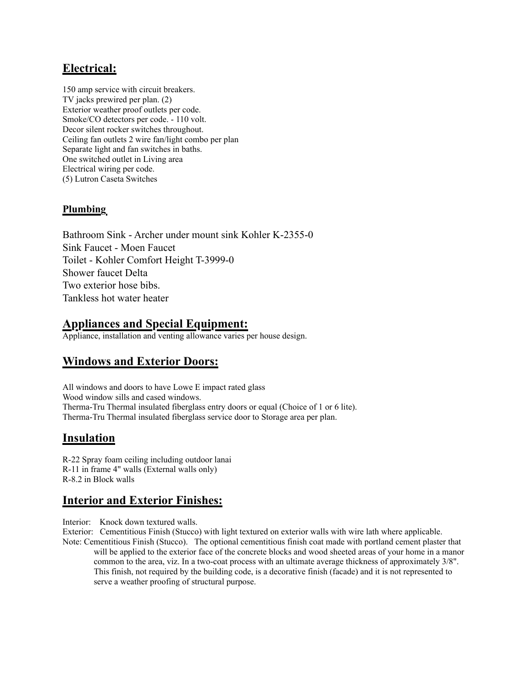# **Electrical:**

150 amp service with circuit breakers. TV jacks prewired per plan. (2) Exterior weather proof outlets per code. Smoke/CO detectors per code. - 110 volt. Decor silent rocker switches throughout. Ceiling fan outlets 2 wire fan/light combo per plan Separate light and fan switches in baths. One switched outlet in Living area Electrical wiring per code. (5) Lutron Caseta Switches

#### **Plumbing**

Bathroom Sink - Archer under mount sink Kohler K-2355-0 Sink Faucet - Moen Faucet Toilet - Kohler Comfort Height T-3999-0 Shower faucet Delta Two exterior hose bibs. Tankless hot water heater

# **Appliances and Special Equipment:**

Appliance, installation and venting allowance varies per house design.

### **Windows and Exterior Doors:**

All windows and doors to have Lowe E impact rated glass Wood window sills and cased windows. Therma-Tru Thermal insulated fiberglass entry doors or equal (Choice of 1 or 6 lite). Therma-Tru Thermal insulated fiberglass service door to Storage area per plan.

#### **Insulation**

R-22 Spray foam ceiling including outdoor lanai R-11 in frame 4" walls (External walls only) R-8.2 in Block walls

#### **Interior and Exterior Finishes:**

Interior: Knock down textured walls.

Exterior: Cementitious Finish (Stucco) with light textured on exterior walls with wire lath where applicable.

Note: Cementitious Finish (Stucco). The optional cementitious finish coat made with portland cement plaster that will be applied to the exterior face of the concrete blocks and wood sheeted areas of your home in a manor common to the area, viz. In a two-coat process with an ultimate average thickness of approximately 3/8". This finish, not required by the building code, is a decorative finish (facade) and it is not represented to serve a weather proofing of structural purpose.